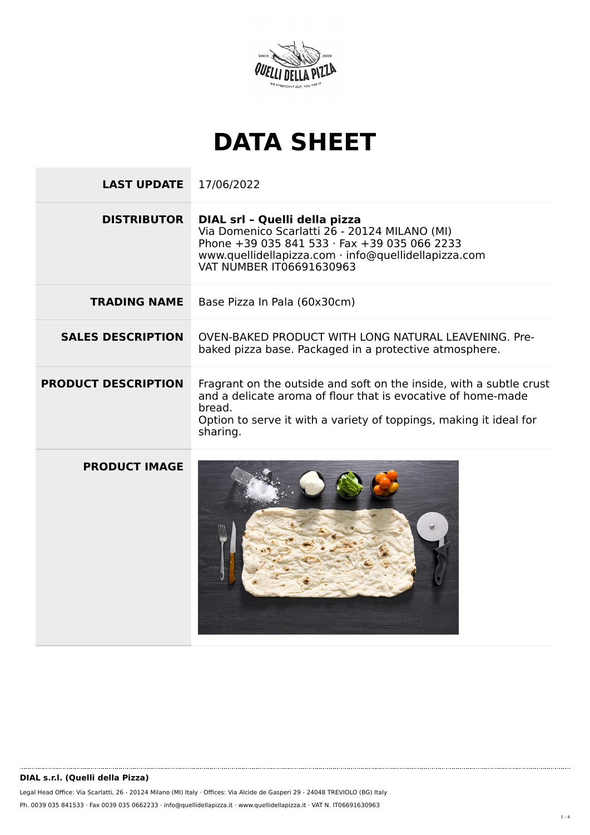

## **DATA SHEET**

**LAST UPDATE** 17/06/2022 **DISTRIBUTOR DIAL srl – Quelli della pizza** Via Domenico Scarlatti 26 - 20124 MILANO (MI) Phone +39 035 841 533 · Fax +39 035 066 2233 www.quellidellapizza.com · info@quellidellapizza.com VAT NUMBER IT06691630963 **TRADING NAME** Base Pizza In Pala (60x30cm) **SALES DESCRIPTION** OVEN-BAKED PRODUCT WITH LONG NATURAL LEAVENING. Prebaked pizza base. Packaged in a protective atmosphere. **PRODUCT DESCRIPTION** Fragrant on the outside and soft on the inside, with a subtle crust and a delicate aroma of flour that is evocative of home-made bread. Option to serve it with a variety of toppings, making it ideal for sharing. **PRODUCT IMAGE**

Legal Head Office: Via Scarlatti, 26 - 20124 Milano (MI) Italy · Offices: Via Alcide de Gasperi 29 - 24048 TREVIOLO (BG) Italy Ph. 0039 035 841533 · Fax 0039 035 0662233 · info@quellidellapizza.it · www.quellidellapizza.it · VAT N. IT06691630963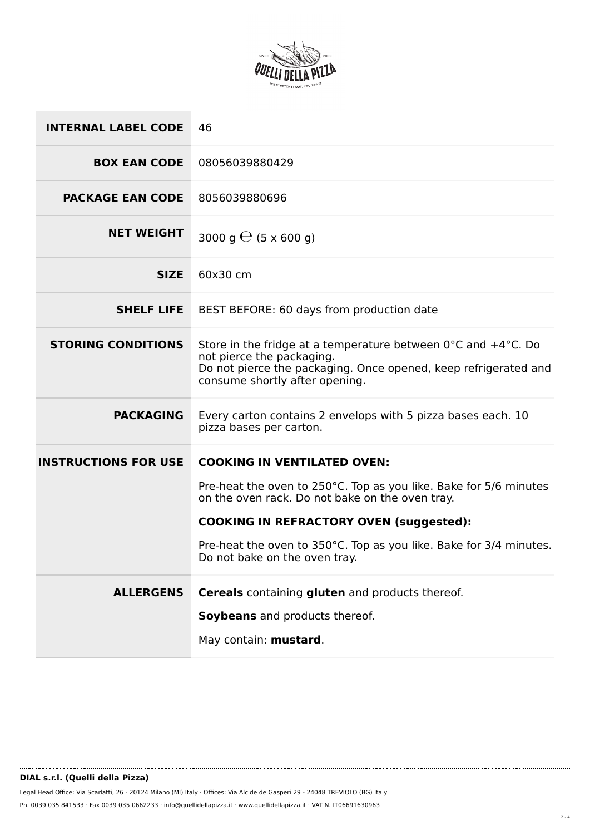

| <b>INTERNAL LABEL CODE</b>  | 46                                                                                                                                                                                                                  |  |
|-----------------------------|---------------------------------------------------------------------------------------------------------------------------------------------------------------------------------------------------------------------|--|
| <b>BOX EAN CODE</b>         | 08056039880429                                                                                                                                                                                                      |  |
| <b>PACKAGE EAN CODE</b>     | 8056039880696                                                                                                                                                                                                       |  |
| <b>NET WEIGHT</b>           | 3000 g $\Theta$ (5 x 600 g)                                                                                                                                                                                         |  |
| <b>SIZE</b>                 | 60x30 cm                                                                                                                                                                                                            |  |
| <b>SHELF LIFE</b>           | BEST BEFORE: 60 days from production date                                                                                                                                                                           |  |
| <b>STORING CONDITIONS</b>   | Store in the fridge at a temperature between $0^{\circ}$ C and $+4^{\circ}$ C. Do<br>not pierce the packaging.<br>Do not pierce the packaging. Once opened, keep refrigerated and<br>consume shortly after opening. |  |
| <b>PACKAGING</b>            | Every carton contains 2 envelops with 5 pizza bases each. 10<br>pizza bases per carton.                                                                                                                             |  |
| <b>INSTRUCTIONS FOR USE</b> | <b>COOKING IN VENTILATED OVEN:</b>                                                                                                                                                                                  |  |
|                             | Pre-heat the oven to 250°C. Top as you like. Bake for 5/6 minutes<br>on the oven rack. Do not bake on the oven tray.                                                                                                |  |
|                             | <b>COOKING IN REFRACTORY OVEN (suggested):</b>                                                                                                                                                                      |  |
|                             | Pre-heat the oven to 350°C. Top as you like. Bake for 3/4 minutes.<br>Do not bake on the oven tray.                                                                                                                 |  |
| <b>ALLERGENS</b>            | <b>Cereals</b> containing <b>gluten</b> and products thereof.                                                                                                                                                       |  |
|                             | Soybeans and products thereof.                                                                                                                                                                                      |  |
|                             | May contain: mustard.                                                                                                                                                                                               |  |
|                             |                                                                                                                                                                                                                     |  |

........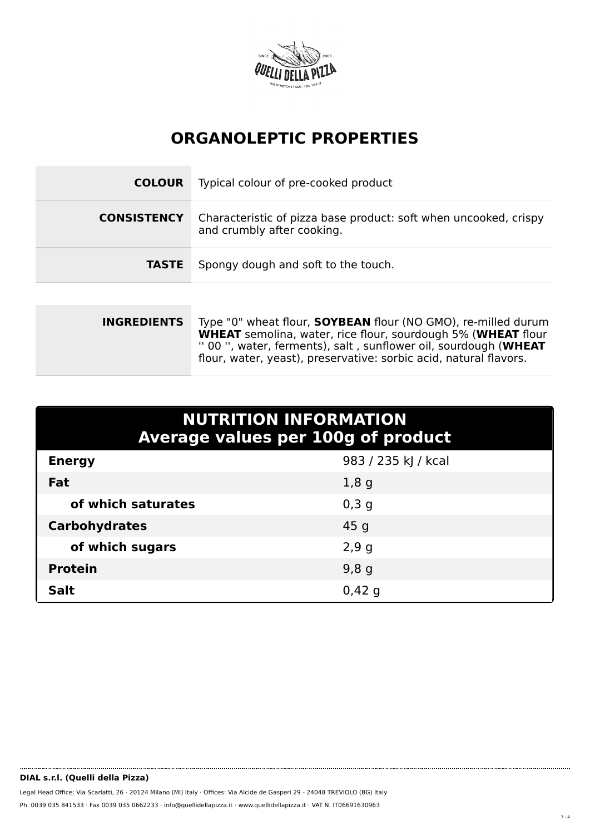

## **ORGANOLEPTIC PROPERTIES**

| <b>COLOUR</b>      | Typical colour of pre-cooked product                                                           |
|--------------------|------------------------------------------------------------------------------------------------|
| <b>CONSISTENCY</b> | Characteristic of pizza base product: soft when uncooked, crispy<br>and crumbly after cooking. |
| <b>TASTE</b>       | Spongy dough and soft to the touch.                                                            |
|                    |                                                                                                |

| <b>INGREDIENTS</b> | Type "0" wheat flour, <b>SOYBEAN</b> flour (NO GMO), re-milled durum |  |
|--------------------|----------------------------------------------------------------------|--|
|                    | <b>WHEAT</b> semolina, water, rice flour, sourdough 5% (WHEAT flour  |  |
|                    | " 00", water, ferments), salt, sunflower oil, sourdough (WHEAT       |  |
|                    | flour, water, yeast), preservative: sorbic acid, natural flavors.    |  |
|                    |                                                                      |  |

| <b>NUTRITION INFORMATION</b><br><b>Average values per 100g of product</b> |                     |  |  |  |
|---------------------------------------------------------------------------|---------------------|--|--|--|
| <b>Energy</b>                                                             | 983 / 235 kJ / kcal |  |  |  |
| Fat                                                                       | 1,8g                |  |  |  |
| of which saturates                                                        | $0,3$ g             |  |  |  |
| <b>Carbohydrates</b>                                                      | 45 <sub>g</sub>     |  |  |  |
| of which sugars                                                           | 2,9g                |  |  |  |
| <b>Protein</b>                                                            | 9,8g                |  |  |  |
| <b>Salt</b>                                                               | 0,42,9              |  |  |  |